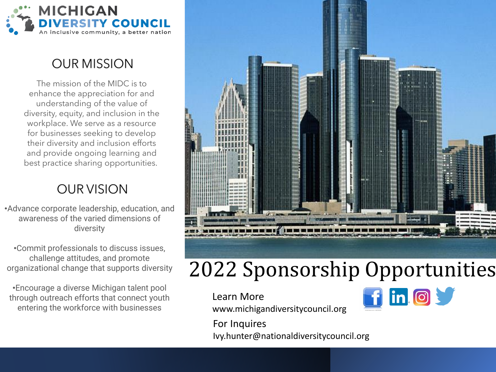

#### **OUR MISSION**

The mission of the MIDC is to enhance the appreciation for and understanding of the value of diversity, equity, and inclusion in the workplace. We serve as a resource for businesses seeking to develop their diversity and inclusion efforts and provide ongoing learning and best practice sharing opportunities.

#### **OUR VISION**

•Advance corporate leadership, education, and awareness of the varied dimensions of diversity

•Commit professionals to discuss issues, challenge attitudes, and promote organizational change that supports diversity

•Encourage a diverse Michigan talent pool through outreach efforts that connect youth entering the workforce with businesses



# 2022 Sponsorship Opportunities

Learn More www.michigandiversitycouncil.org



For Inquires Ivy.hunter@nationaldiversitycouncil.org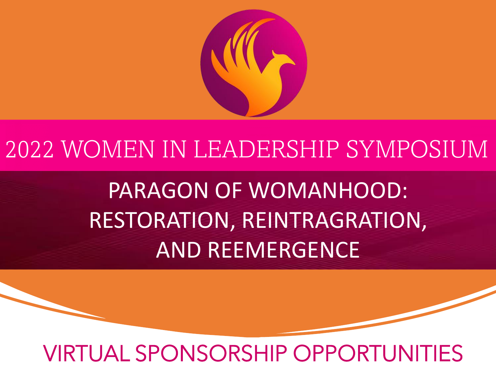

# 2022 WOMEN IN LEADERSHIP SYMPOSIUM

PARAGON OF WOMANHOOD: RESTORATION, REINTRAGRATION, AND REEMERGENCE

# VIRTUAL SPONSORSHIP OPPORTUNITIES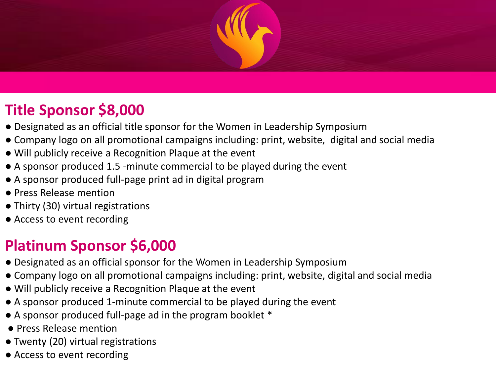

# **Title Sponsor \$8,000**

- Designated as an official title sponsor for the Women in Leadership Symposium
- Company logo on all promotional campaigns including: print, website, digital and social media
- Will publicly receive a Recognition Plaque at the event
- A sponsor produced 1.5 -minute commercial to be played during the event
- A sponsor produced full-page print ad in digital program
- Press Release mention
- Thirty (30) virtual registrations
- Access to event recording

## **Platinum Sponsor \$6,000**

- Designated as an official sponsor for the Women in Leadership Symposium
- Company logo on all promotional campaigns including: print, website, digital and social media
- Will publicly receive a Recognition Plaque at the event
- A sponsor produced 1-minute commercial to be played during the event
- A sponsor produced full-page ad in the program booklet \*
- Press Release mention
- Twenty (20) virtual registrations
- Access to event recording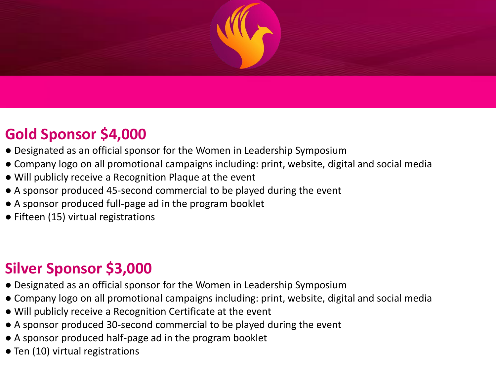

### **Gold Sponsor \$4,000**

- Designated as an official sponsor for the Women in Leadership Symposium
- Company logo on all promotional campaigns including: print, website, digital and social media
- Will publicly receive a Recognition Plaque at the event
- A sponsor produced 45-second commercial to be played during the event
- A sponsor produced full-page ad in the program booklet
- Fifteen (15) virtual registrations

## **Silver Sponsor \$3,000**

- Designated as an official sponsor for the Women in Leadership Symposium
- Company logo on all promotional campaigns including: print, website, digital and social media
- Will publicly receive a Recognition Certificate at the event
- A sponsor produced 30-second commercial to be played during the event
- A sponsor produced half-page ad in the program booklet
- Ten (10) virtual registrations